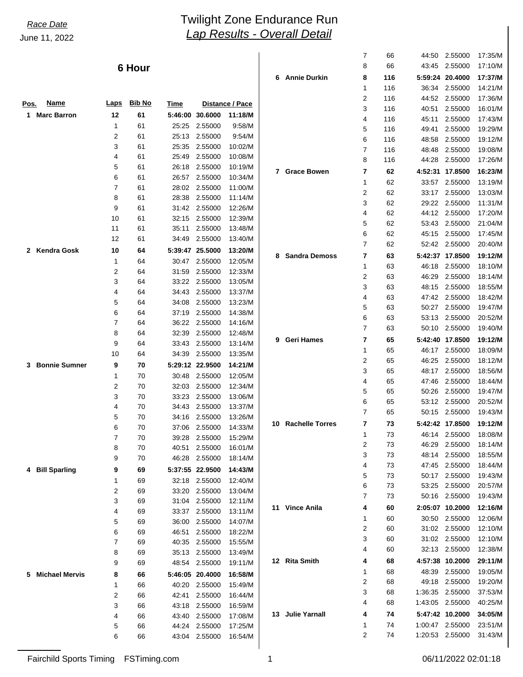# *Lap Results - Overall Detail* June 11, 2022 *Race Date* Twilight Zone Endurance Run

|                            |                  | 6 Hour        |                |                    |                        | 6.   | A |
|----------------------------|------------------|---------------|----------------|--------------------|------------------------|------|---|
| Name<br>Pos.               | <b>Laps</b>      | <b>Bib No</b> | <u>Time</u>    |                    | <b>Distance / Pace</b> |      |   |
| 1<br><b>Marc Barron</b>    | 12               | 61            | 5:46:00        | 30.6000            | 11:18/M                |      |   |
|                            | 1                | 61            | 25:25          | 2.55000            | 9:58/M                 |      |   |
|                            | 2                | 61            | 25:13          | 2.55000            | 9:54/M                 |      |   |
|                            | 3                | 61            | 25:35          | 2.55000            | 10:02/M                |      |   |
|                            | 4                | 61            | 25:49          | 2.55000            | 10:08/M                |      |   |
|                            | 5                | 61            | 26:18          | 2.55000            | 10:19/M                | 7    | G |
|                            | 6                | 61            | 26:57          | 2.55000            | 10:34/M                |      |   |
|                            | 7                | 61            | 28:02          | 2.55000            | 11:00/M                |      |   |
|                            | 8                | 61            | 28:38          | 2.55000            | 11:14/M                |      |   |
|                            | 9                | 61            | 31:42          | 2.55000            | 12:26/M                |      |   |
|                            | 10               | 61            | 32:15          | 2.55000            | 12:39/M                |      |   |
|                            | 11               | 61            | 35:11          | 2.55000            | 13:48/M                |      |   |
|                            | 12               | 61            | 34:49          | 2.55000            | 13:40/M                |      |   |
| <b>Kendra Gosk</b><br>2    | 10               | 64            | 5:39:47        | 25.5000            | 13:20/M                | 8    | S |
|                            | 1                | 64            | 30:47          | 2.55000            | 12:05/M                |      |   |
|                            | 2                | 64            | 31:59          | 2.55000            | 12:33/M                |      |   |
|                            | 3                | 64            | 33:22          | 2.55000            | 13:05/M                |      |   |
|                            | 4                | 64            | 34:43          | 2.55000            | 13:37/M                |      |   |
|                            | 5                | 64            | 34:08          | 2.55000            | 13:23/M                |      |   |
|                            | 6                | 64            | 37:19          | 2.55000            | 14:38/M                |      |   |
|                            | 7                | 64            | 36:22          | 2.55000            | 14:16/M                |      |   |
|                            | 8                | 64            | 32:39          | 2.55000            | 12:48/M                | 9    | G |
|                            | 9                | 64            | 33:43          | 2.55000            | 13:14/M                |      |   |
|                            | 10               | 64            | 34:39          | 2.55000            | 13:35/M                |      |   |
| <b>Bonnie Sumner</b><br>3  | 9                | 70            | 5:29:12        | 22.9500            | 14:21/M                |      |   |
|                            | 1                | 70            | 30:48          | 2.55000            | 12:05/M                |      |   |
|                            | 2                | 70            | 32:03          | 2.55000            | 12:34/M                |      |   |
|                            | 3                | 70            | 33:23          | 2.55000            | 13:06/M                |      |   |
|                            | 4                | 70            | 34:43          | 2.55000            | 13:37/M                |      |   |
|                            | 5                | 70            | 34:16          | 2.55000            | 13:26/M                | 10   | R |
|                            | 6                | 70            | 37:06          | 2.55000            | 14:33/M                |      |   |
|                            | 7                | 70            | 39:28          | 2.55000            | 15:29/M                |      |   |
|                            | 8<br>9           | 70            | 40:51          | 2.55000            | 16:01/M<br>18:14/M     |      |   |
|                            |                  | 70            | 46:28          | 2.55000            |                        |      |   |
| <b>Bill Sparling</b><br>4  | 9                | 69            | 5:37:55        | 22.9500            | 14:43/M                |      |   |
|                            | 1                | 69            | 32:18          | 2.55000            | 12:40/M                |      |   |
|                            | 2                | 69            | 33:20          | 2.55000            | 13:04/M                |      |   |
|                            | 3<br>4           | 69            | 31:04          | 2.55000<br>2.55000 | 12:11/M                | 11   |   |
|                            | 5                | 69<br>69      | 33:37<br>36:00 | 2.55000            | 13:11/M<br>14:07/M     |      |   |
|                            | 6                | 69            | 46:51          | 2.55000            | 18:22/M                |      |   |
|                            | $\boldsymbol{7}$ | 69            | 40:35          | 2.55000            | 15:55/M                |      |   |
|                            | 8                | 69            | 35:13          | 2.55000            | 13:49/M                |      |   |
|                            | 9                | 69            | 48:54          | 2.55000            | 19:11/M                | 12 R |   |
| <b>Michael Mervis</b><br>5 | 8                | 66            | 5:46:05        | 20.4000            | 16:58/M                |      |   |
|                            | 1                | 66            | 40:20          | 2.55000            | 15:49/M                |      |   |
|                            | $\boldsymbol{2}$ | 66            | 42:41          | 2.55000            | 16:44/M                |      |   |
|                            | 3                | 66            | 43:18          | 2.55000            | 16:59/M                |      |   |
|                            | 4                | 66            | 43:40          | 2.55000            | 17:08/M                | 13 J |   |
|                            | 5                | 66            | 44:24          | 2.55000            | 17:25/M                |      |   |
|                            | 6                | 66            | 43:04          | 2.55000            | 16:54/M                |      |   |
|                            |                  |               |                |                    |                        |      |   |

|    |                        | 7                       | 66  | 44:50   | 2.55000         | 17:35/M |
|----|------------------------|-------------------------|-----|---------|-----------------|---------|
|    |                        | 8                       | 66  | 43:45   | 2.55000         | 17:10/M |
| 6  | <b>Annie Durkin</b>    | 8                       | 116 | 5:59:24 | 20.4000         | 17:37/M |
|    |                        | 1                       | 116 | 36:34   | 2.55000         | 14:21/M |
|    |                        | 2                       | 116 | 44:52   | 2.55000         | 17:36/M |
|    |                        | 3                       | 116 | 40:51   | 2.55000         | 16:01/M |
|    |                        | 4                       | 116 | 45:11   | 2.55000         | 17:43/M |
|    |                        | 5                       | 116 | 49:41   | 2.55000         | 19:29/M |
|    |                        | 6                       | 116 | 48:58   | 2.55000         | 19:12/M |
|    |                        | 7                       | 116 | 48:48   | 2.55000         | 19:08/M |
|    |                        | 8                       | 116 | 44:28   | 2.55000         | 17:26/M |
| 7  | <b>Grace Bowen</b>     | 7                       | 62  | 4:52:31 | 17.8500         | 16:23/M |
|    |                        | 1                       | 62  | 33:57   | 2.55000         | 13:19/M |
|    |                        | $\overline{\mathbf{c}}$ | 62  | 33:17   | 2.55000         | 13:03/M |
|    |                        | 3                       | 62  | 29:22   | 2.55000         | 11:31/M |
|    |                        | 4                       | 62  | 44:12   | 2.55000         | 17:20/M |
|    |                        | 5                       | 62  | 53.43   | 2.55000         | 21:04/M |
|    |                        | 6                       | 62  | 45:15   | 2.55000         | 17:45/M |
|    |                        | 7                       | 62  | 52:42   | 2.55000         | 20:40/M |
| 8  | <b>Sandra Demoss</b>   | 7                       | 63  | 5:42:37 | 17.8500         | 19:12/M |
|    |                        | 1                       | 63  | 46:18   | 2.55000         | 18:10/M |
|    |                        | 2                       | 63  | 46:29   | 2.55000         | 18:14/M |
|    |                        | 3                       | 63  | 48:15   | 2.55000         | 18:55/M |
|    |                        | 4                       | 63  | 47:42   | 2.55000         | 18:42/M |
|    |                        | 5                       | 63  | 50:27   | 2.55000         | 19:47/M |
|    |                        | 6                       | 63  | 53:13   | 2.55000         | 20:52/M |
|    |                        | 7                       | 63  | 50:10   | 2.55000         | 19:40/M |
| 9  | Geri Hames             | 7                       | 65  | 5:42:40 | 17.8500         | 19:12/M |
|    |                        | 1                       | 65  | 46:17   | 2.55000         | 18:09/M |
|    |                        | 2                       | 65  | 46:25   | 2.55000         | 18:12/M |
|    |                        | 3                       | 65  | 48:17   | 2.55000         | 18:56/M |
|    |                        | 4                       | 65  | 47:46   | 2.55000         | 18:44/M |
|    |                        | 5                       | 65  | 50:26   | 2.55000         | 19:47/M |
|    |                        | 6                       | 65  | 53:12   | 2.55000         | 20:52/M |
|    |                        | 7                       | 65  | 50:15   | 2.55000         | 19:43/M |
| 10 | <b>Rachelle Torres</b> | 7                       | 73  | 5:42:42 | 17.8500         | 19:12/M |
|    |                        | 1                       | 73  | 46:14   | 2.55000         | 18:08/M |
|    |                        | 2                       | 73  | 46:29   | 2.55000         | 18:14/M |
|    |                        | 3                       | 73  | 48:14   | 2.55000         | 18:55/M |
|    |                        | 4                       | 73  | 47:45   | 2.55000         | 18:44/M |
|    |                        | 5                       | 73  | 50:17   | 2.55000         | 19:43/M |
|    |                        | 6                       | 73  | 53:25   | 2.55000         | 20:57/M |
|    |                        | 7                       | 73  | 50:16   | 2.55000         | 19:43/M |
|    | 11 Vince Anila         | 4                       | 60  |         | 2:05:07 10.2000 | 12:16/M |
|    |                        | 1                       | 60  | 30:50   | 2.55000         | 12:06/M |
|    |                        | $\overline{2}$          | 60  | 31:02   | 2.55000         | 12:10/M |
|    |                        | 3                       | 60  | 31:02   | 2.55000         | 12:10/M |
|    |                        | 4                       | 60  | 32:13   | 2.55000         | 12:38/M |
| 12 | <b>Rita Smith</b>      | 4                       | 68  | 4:57:38 | 10.2000         | 29:11/M |
|    |                        | 1                       | 68  | 48:39   | 2.55000         | 19:05/M |
|    |                        | 2                       | 68  | 49:18   | 2.55000         | 19:20/M |
|    |                        | 3                       | 68  | 1:36:35 | 2.55000         | 37:53/M |
|    |                        | 4                       | 68  | 1:43:05 | 2.55000         | 40:25/M |
| 13 | <b>Julie Yarnall</b>   | 4                       | 74  |         | 5:47:42 10.2000 | 34:05/M |
|    |                        | 1                       | 74  | 1:00:47 | 2.55000         | 23:51/M |
|    |                        | 2                       | 74  | 1:20:53 | 2.55000         | 31:43/M |